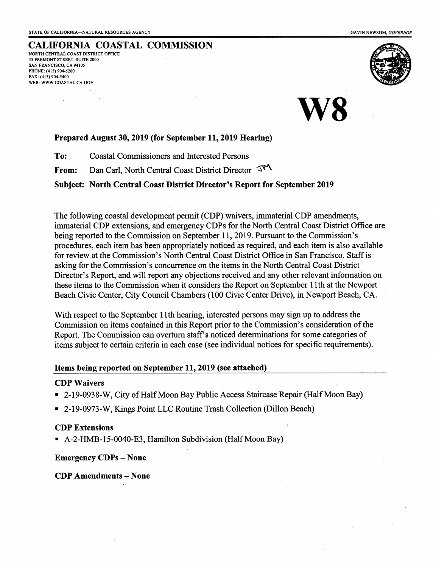### CALIFORNIA COASTAL COMMISSION

NORTH CENTRAi COAST DISTRICT OFFICE 45 FREMONT STREET, SUTTE 2OOO sAN FRANCISCO, CA 94105 PHONE: (415) 904-5260 FAx: (415) 904-5400 WEB: WWW.COASTAL.CA.GOV



### Prepared August 30, 2019 (for September 11, 2019 Hearing)

To: Coastal Commissioners and Interested Persons

From: Dan Carl, North Central Coast District Director  $\mathcal{T}^{\mathcal{M}}$ 

Subject: North Central Coast District Director's Report for September 2019

The following coastal development permit (CDP) waivers, immaterial CDP amendments, immaterial CDP extensions, and emergency CDPs for the North Central Coast District Office are being reported to the Commission on September 11, 2019. Pursuant to the Commission's procedures, each item has been appropriately noticed as required, and each item is also available for review at the Commission's North Central Coast District Office in San Francisco. Staff is asking for the Commission's concurrence on the items in the North Cenfral Coast District Director's Report, and will report any objections received and any other relevant information on these iterns to the Commission when it considers the Report on September 1lth at the Newport Beach Civic Center, City Council Charnbers (100 Civic Center Drive), in Newport Beach, CA.

With respect to the September 1lth hearing, interested persons may sign up to address the Commission on items contained in this Report prior to the Commission's consideration of the Report. The Commission can overturn staff's noticed determinations for some categories of items subject to certain criteria in each case (see individual notices for specific requirements).

#### Items being reported on September 11,2019 (see attached)

### CDP Waivers

- . 2-19-0938-W, City of Half Moon Bay Public Access Staircase Repair (Half Moon Bay)
- . 2-19-0973-W, Kings Point LLC Routine Trash Collection (Dillon Beach)

### CDP Extensions

. A-2-HMB-15-0040-E3, Hamilton Subdivision (Half Moon Bay)

#### Emergency CDPs - None

CDP Amendments - None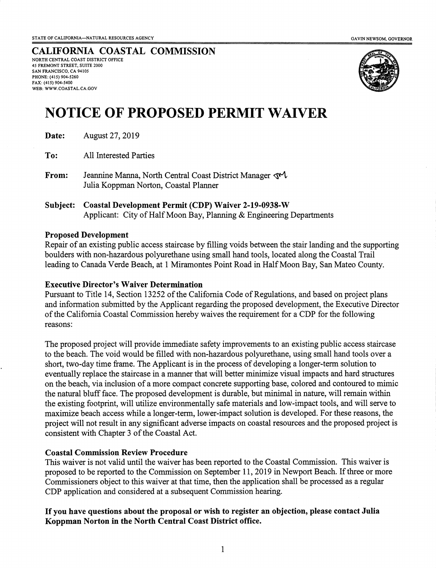CALIFORNIA COASTAL COMMISSION NORTH CENTRAL COAST DISTRICT OFFICE 45 FREMONT STREET, SUITE 2OOO SAN FRANCISCO, CA 94105 PHONE; (415) 904-5260 FAX: (415) 904-5400 WEB: WWW.COASTAL.CA.GOV



# NOTICE OF PROPOSED PERMIT

**Date:** August 27, 2019

To: All lnterested Parties

- From: Jeannine Manna, North Central Coast District Manager  $\mathbb{C}^1$ Julia Koppman Norton, Coastal Planner
- Subject: Coastal Development Permit (CDP) Waiver 2-19-0938-W Applicant: City of Half Moon Bay, Planning & Engineering Departments

### Proposed Development

Repair of an existing public access staircase by filling voids between the stair landing and the supporting boulders with non-hazaxdous polyurethane using small hand tools, located along the Coastal Trail leading to Canada Verde Beach, at 1 Miramontes Point Road in Half Moon Bay, San Mateo County.

### Executive Director's Waiver Determination

Pursuant to Title 14, Section 13252 of the California Code of Regulations, and based on project plans and information submitted by the Applicant regarding the proposed development, the Executive Director of the California Coastal Commission hereby waives the requirernent for a CDP for the following reasons:

The proposed project will provide immediate safety improvements to an existing public access staircase to the beach. The void would be filled with non-hazardous polyurethane, using small hand tools over a short, two-day time frame. The Applicant is in the process of developing a longer-term solution to eventually replace the staircase in a manner that will better minimize visual impacts and hard structures on the beach, via inclusion of a more compact concrete supporting base, colored and contoured to mimic the natural bluff face. The proposed development is durable, but minimal in nature, will remain within the existing footprint, will utilize environmentally safe materials and low-impact tools, and will serve to maximize beach access while a longer-term, lower-impact solution is developed. For these reasons, the project will not result in any significant adverse impacts on coastal resources and the proposed project is consistent with Chapter 3 of the Coastal Act.

### Coastal Commission Review Procedure

This waiver is not valid until the waiver has been reported to the Coastal Commission. This waiver is proposed to be reported to the Commission on September 11, 2019 in Newport Beach. If three or more Commissioners object to this waiver at that time, then the application shall be processed as a regular CDP application and considered at a subsequent Commission hearing.

### If you have questions about the proposal or wish to register an objection, please contact Julia Koppman Norton in the North Central Coast District office.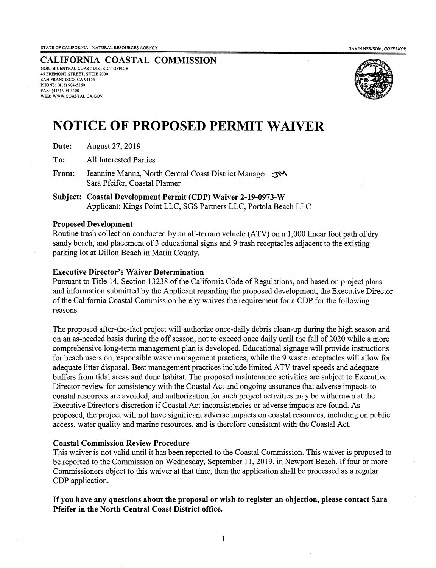STATE OF CALIFORNIA—NATURAL RESOURCES AGENCY GAVINNEWSOM, COVERNOR CONTROLLED AND SAVIN NEWSOM, COVERNOR

CALIFORNIA COASTAL COMMISSION NORTH CENTRAL COAST DISTRICT OTFICE 45 FREMONT STREET, SUITE 2000 SAN FRANCISCO, CA 94105 PHONE: (415) 904-5260 FAX; (415) 90a-5400 WEB: WWW.COASTAL.CA.GOV



### NOTICE OF PROPOSED PERMIT WAIVER

|  | Date: | August 27, 2019 |
|--|-------|-----------------|
|--|-------|-----------------|

To: All lnterested Parties

From: Jeannine Manna, North Central Coast District Manager Sara Pfeifer, Coastal Planner

Subject: Coastal Development Permit (CDP) Waiver 2-19-0973-W Applicant: Kings Point LLC, SGS Partners LLC, Portola Beach LLC

### Proposed Development

Routine trash collection conducted by an all-terrain vehicle (ATy) on a 1,000 linear foot path of dry sandy beach, and placement of 3 educational signs and 9 trash receptacles adjacent to the existing parking lot at Dillon Beach in Marin County.

### Executive Director's Waiver Determination

Pursuant to Title 14, Section 13238 of the California Code of Regulations, and based on project plans and information submitted by the Applicant regarding the proposed development, the Executive Director of the Califomia Coastal Commission hereby waives the requirement for a CDP for the following reasons:

The proposed after-the-fact project will authorize once-daily debris clean-up during the high season and on an as-needed basis during the off season, not to exceed once daily until the fall of 2020 while a more comprehensive long-term management plan is developed. Educational signage will provide instructions for beach users on responsible waste management practices, while the 9 waste receptacles will allow for adequate litter disposal. Best management practices include limited ATV travel speeds and adequate buffers from tidal areas and dune habitat. The proposed maintenance activities are subject to Executive Director review for consistency with the Coastal Act and ongoing assurance that adverse impacts to coastal resources are avoided, and authorization for such project activities may be withdrawn at the Executive Director's discretion if Coastal Act inconsistencies or adverse impacts are found. As proposed, the project will not have significant adverse impacts on coastal resources, including on public access, water quality and marine resources, and is therefore consistent with the Coastal Act.

### Coastal Commission Review Procedure

This waiver is not valid until it has been reported to the Coastal Commission. This waiver is proposed to be reported to the Commission on Wednesday, September 11, 2019, in Newport Beach. If four or more Commissioners object to this waiver at that time, then the application shall be processed as a regular CDP application.

### Ifyou have any questions about the proposal or wish to register an objection, please contact Sara Pfeifer in the North Central Coast District office.